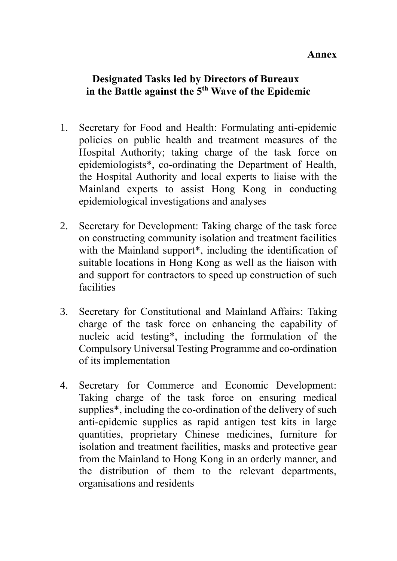## **Annex**

## **Designated Tasks led by Directors of Bureaux in the Battle against the 5th Wave of the Epidemic**

- 1. Secretary for Food and Health: Formulating anti-epidemic policies on public health and treatment measures of the Hospital Authority; taking charge of the task force on epidemiologists\*, co-ordinating the Department of Health, the Hospital Authority and local experts to liaise with the Mainland experts to assist Hong Kong in conducting epidemiological investigations and analyses
- 2. Secretary for Development: Taking charge of the task force on constructing community isolation and treatment facilities with the Mainland support<sup>\*</sup>, including the identification of suitable locations in Hong Kong as well as the liaison with and support for contractors to speed up construction of such facilities
- 3. Secretary for Constitutional and Mainland Affairs: Taking charge of the task force on enhancing the capability of nucleic acid testing\*, including the formulation of the Compulsory Universal Testing Programme and co-ordination of its implementation
- 4. Secretary for Commerce and Economic Development: Taking charge of the task force on ensuring medical supplies\*, including the co-ordination of the delivery of such anti-epidemic supplies as rapid antigen test kits in large quantities, proprietary Chinese medicines, furniture for isolation and treatment facilities, masks and protective gear from the Mainland to Hong Kong in an orderly manner, and the distribution of them to the relevant departments, organisations and residents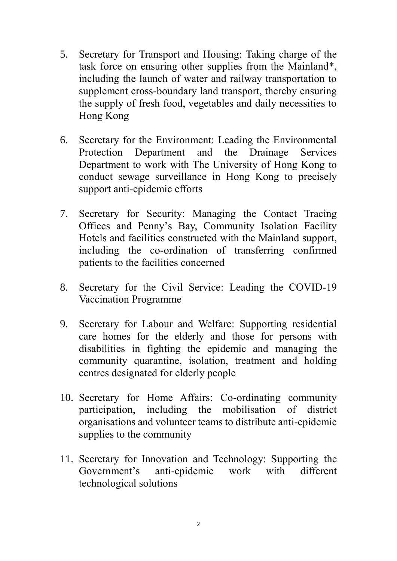- 5. Secretary for Transport and Housing: Taking charge of the task force on ensuring other supplies from the Mainland\*, including the launch of water and railway transportation to supplement cross-boundary land transport, thereby ensuring the supply of fresh food, vegetables and daily necessities to Hong Kong
- 6. Secretary for the Environment: Leading the Environmental Protection Department and the Drainage Services Department to work with The University of Hong Kong to conduct sewage surveillance in Hong Kong to precisely support anti-epidemic efforts
- 7. Secretary for Security: Managing the Contact Tracing Offices and Penny's Bay, Community Isolation Facility Hotels and facilities constructed with the Mainland support, including the co-ordination of transferring confirmed patients to the facilities concerned
- 8. Secretary for the Civil Service: Leading the COVID-19 Vaccination Programme
- 9. Secretary for Labour and Welfare: Supporting residential care homes for the elderly and those for persons with disabilities in fighting the epidemic and managing the community quarantine, isolation, treatment and holding centres designated for elderly people
- 10. Secretary for Home Affairs: Co-ordinating community participation, including the mobilisation of district organisations and volunteer teams to distribute anti-epidemic supplies to the community
- 11. Secretary for Innovation and Technology: Supporting the Government's anti-epidemic work with different technological solutions